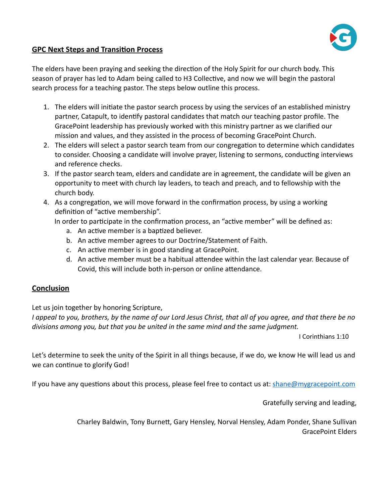

## **GPC Next Steps and Transition Process**

The elders have been praying and seeking the direction of the Holy Spirit for our church body. This season of prayer has led to Adam being called to H3 Collective, and now we will begin the pastoral search process for a teaching pastor. The steps below outline this process.

- 1. The elders will initiate the pastor search process by using the services of an established ministry partner, Catapult, to identify pastoral candidates that match our teaching pastor profile. The GracePoint leadership has previously worked with this ministry partner as we clarified our mission and values, and they assisted in the process of becoming GracePoint Church.
- 2. The elders will select a pastor search team from our congregation to determine which candidates to consider. Choosing a candidate will involve prayer, listening to sermons, conducting interviews and reference checks.
- 3. If the pastor search team, elders and candidate are in agreement, the candidate will be given an opportunity to meet with church lay leaders, to teach and preach, and to fellowship with the church body.
- 4. As a congregation, we will move forward in the confirmation process, by using a working definition of "active membership".

In order to participate in the confirmation process, an "active member" will be defined as:

- a. An active member is a baptized believer.
- b. An active member agrees to our Doctrine/Statement of Faith.
- c. An active member is in good standing at GracePoint.
- d. An active member must be a habitual attendee within the last calendar year. Because of Covid, this will include both in-person or online attendance.

## **Conclusion**

Let us join together by honoring Scripture,

*I appeal to you, brothers, by the name of our Lord Jesus Christ, that all of you agree, and that there be no divisions among you, but that you be united in the same mind and the same judgment.* 

I Corinthians 1:10

Let's determine to seek the unity of the Spirit in all things because, if we do, we know He will lead us and we can continue to glorify God!

If you have any questions about this process, please feel free to contact us at: [shane@mygracepoint.com](mailto:shane@mygracepoint.com)

Gratefully serving and leading,

Charley Baldwin, Tony Burnett, Gary Hensley, Norval Hensley, Adam Ponder, Shane Sullivan GracePoint Elders